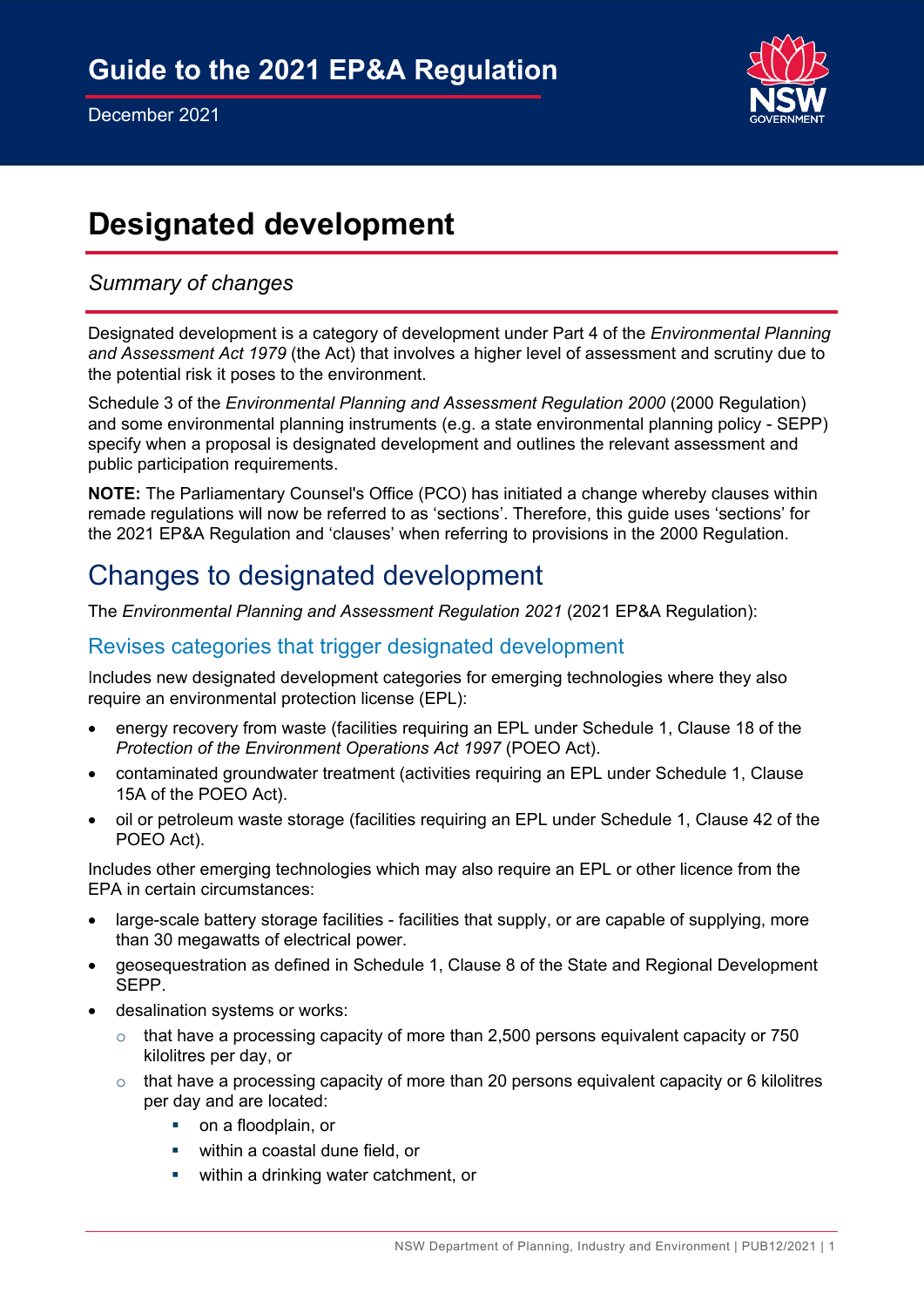

# **Designated development**

## *Summary of changes*

Designated development is a category of development under Part 4 of the *Environmental Planning and Assessment Act 1979* (the Act) that involves a higher level of assessment and scrutiny due to the potential risk it poses to the environment.

Schedule 3 of the *Environmental Planning and Assessment Regulation 2000* (2000 Regulation) and some environmental planning instruments (e.g. a state environmental planning policy - SEPP) specify when a proposal is designated development and outlines the relevant assessment and public participation requirements.

**NOTE:** The Parliamentary Counsel's Office (PCO) has initiated a change whereby clauses within remade regulations will now be referred to as 'sections'. Therefore, this guide uses 'sections' for the 2021 EP&A Regulation and 'clauses' when referring to provisions in the 2000 Regulation.

## Changes to designated development

The *Environmental Planning and Assessment Regulation 2021* (2021 EP&A Regulation):

### Revises categories that trigger designated development

Includes new designated development categories for emerging technologies where they also require an environmental protection license (EPL):

- energy recovery from waste (facilities requiring an EPL under Schedule 1, Clause 18 of the *Protection of the Environment Operations Act 1997* (POEO Act).
- contaminated groundwater treatment (activities requiring an EPL under Schedule 1, Clause 15A of the POEO Act).
- oil or petroleum waste storage (facilities requiring an EPL under Schedule 1, Clause 42 of the POEO Act).

Includes other emerging technologies which may also require an EPL or other licence from the EPA in certain circumstances:

- large-scale battery storage facilities facilities that supply, or are capable of supplying, more than 30 megawatts of electrical power.
- geosequestration as defined in Schedule 1, Clause 8 of the State and Regional Development SEPP.
- desalination systems or works:
	- $\circ$  that have a processing capacity of more than 2,500 persons equivalent capacity or 750 kilolitres per day, or
	- $\circ$  that have a processing capacity of more than 20 persons equivalent capacity or 6 kilolitres per day and are located:
		- **•** on a floodplain, or
		- **within a coastal dune field, or**
		- **•** within a drinking water catchment, or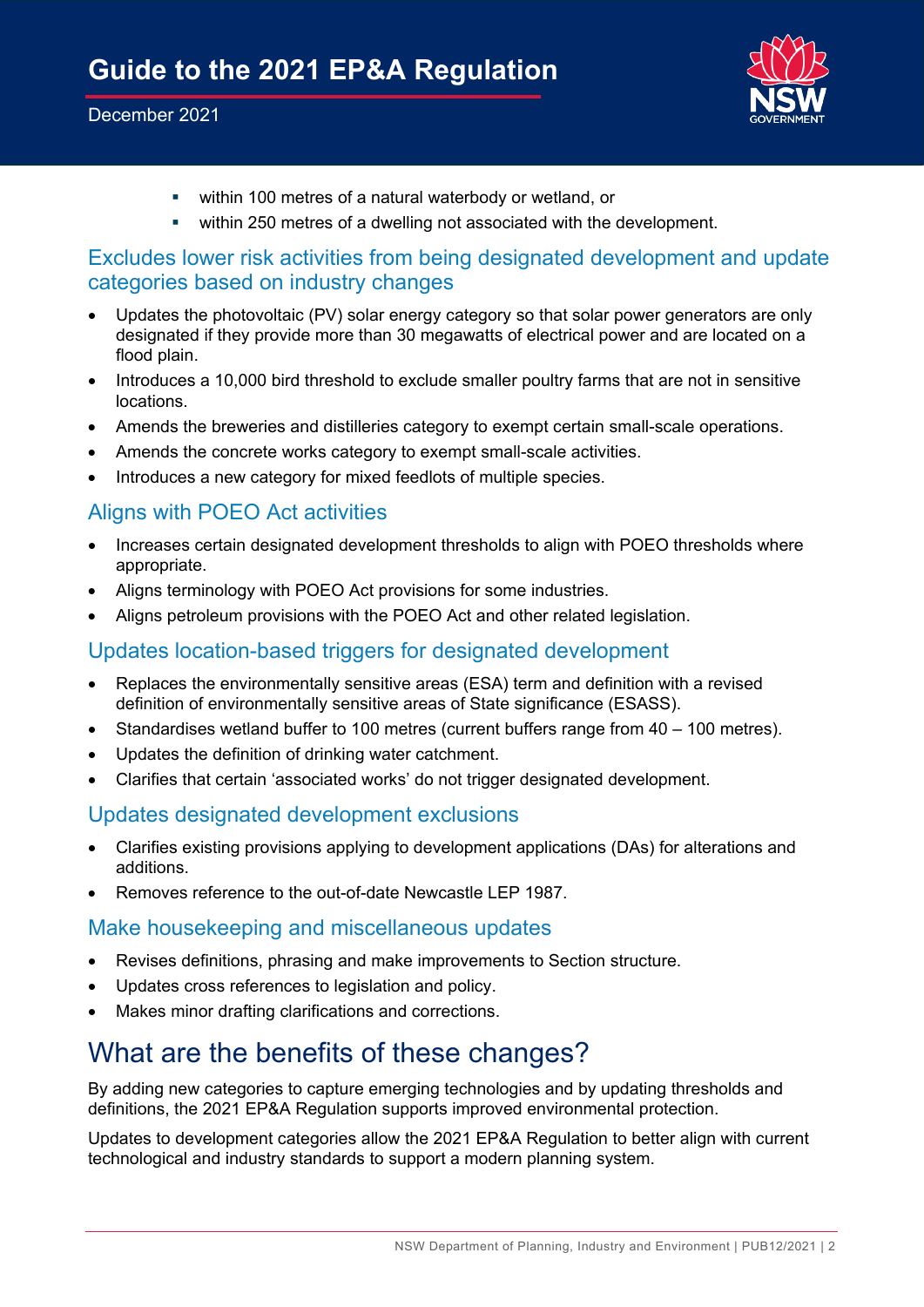#### December 2021



- within 100 metres of a natural waterbody or wetland, or
- within 250 metres of a dwelling not associated with the development.

## Excludes lower risk activities from being designated development and update categories based on industry changes

- Updates the photovoltaic (PV) solar energy category so that solar power generators are only designated if they provide more than 30 megawatts of electrical power and are located on a flood plain.
- Introduces a 10,000 bird threshold to exclude smaller poultry farms that are not in sensitive locations.
- Amends the breweries and distilleries category to exempt certain small-scale operations.
- Amends the concrete works category to exempt small-scale activities.
- Introduces a new category for mixed feedlots of multiple species.

## Aligns with POEO Act activities

- Increases certain designated development thresholds to align with POEO thresholds where appropriate.
- Aligns terminology with POEO Act provisions for some industries.
- Aligns petroleum provisions with the POEO Act and other related legislation.

## Updates location-based triggers for designated development

- Replaces the environmentally sensitive areas (ESA) term and definition with a revised definition of environmentally sensitive areas of State significance (ESASS).
- Standardises wetland buffer to 100 metres (current buffers range from 40 100 metres).
- Updates the definition of drinking water catchment.
- Clarifies that certain 'associated works' do not trigger designated development.

### Updates designated development exclusions

- Clarifies existing provisions applying to development applications (DAs) for alterations and additions.
- Removes reference to the out-of-date Newcastle LEP 1987.

### Make housekeeping and miscellaneous updates

- Revises definitions, phrasing and make improvements to Section structure.
- Updates cross references to legislation and policy.
- Makes minor drafting clarifications and corrections.

## What are the benefits of these changes?

By adding new categories to capture emerging technologies and by updating thresholds and definitions, the 2021 EP&A Regulation supports improved environmental protection.

Updates to development categories allow the 2021 EP&A Regulation to better align with current technological and industry standards to support a modern planning system.